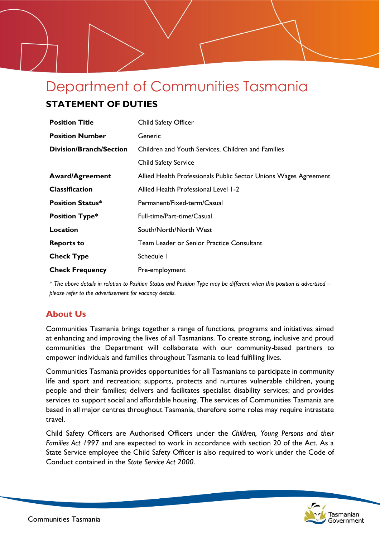# Department of Communities Tasmania

# **STATEMENT OF DUTIES**

| <b>Position Title</b>          | Child Safety Officer                                             |
|--------------------------------|------------------------------------------------------------------|
| <b>Position Number</b>         | Generic                                                          |
| <b>Division/Branch/Section</b> | Children and Youth Services, Children and Families               |
|                                | <b>Child Safety Service</b>                                      |
| <b>Award/Agreement</b>         | Allied Health Professionals Public Sector Unions Wages Agreement |
| <b>Classification</b>          | Allied Health Professional Level 1-2                             |
| <b>Position Status*</b>        | Permanent/Fixed-term/Casual                                      |
| <b>Position Type*</b>          | Full-time/Part-time/Casual                                       |
| Location                       | South/North/North West                                           |
| <b>Reports to</b>              | Team Leader or Senior Practice Consultant                        |
| <b>Check Type</b>              | Schedule I                                                       |
| <b>Check Frequency</b>         | Pre-employment                                                   |

*\* The above details in relation to Position Status and Position Type may be different when this position is advertised – please refer to the advertisement for vacancy details.*

# **About Us**

Communities Tasmania brings together a range of functions, programs and initiatives aimed at enhancing and improving the lives of all Tasmanians. To create strong, inclusive and proud communities the Department will collaborate with our community-based partners to empower individuals and families throughout Tasmania to lead fulfilling lives.

Communities Tasmania provides opportunities for all Tasmanians to participate in community life and sport and recreation; supports, protects and nurtures vulnerable children, young people and their families; delivers and facilitates specialist disability services; and provides services to support social and affordable housing. The services of Communities Tasmania are based in all major centres throughout Tasmania, therefore some roles may require intrastate travel.

Child Safety Officers are Authorised Officers under the *Children, Young Persons and their Families Act 1997* and are expected to work in accordance with section 20 of the Act. As a State Service employee the Child Safety Officer is also required to work under the Code of Conduct contained in the *State Service Act 2000*.

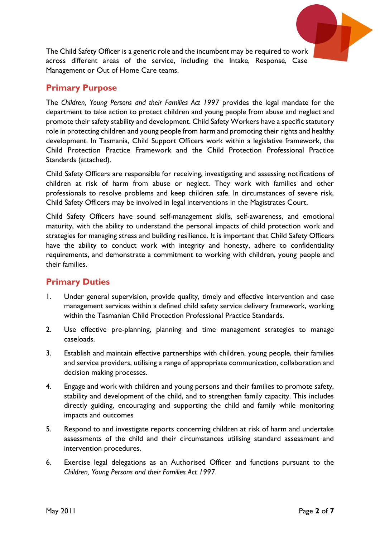

The Child Safety Officer is a generic role and the incumbent may be required to work across different areas of the service, including the Intake, Response, Case Management or Out of Home Care teams.

## **Primary Purpose**

The *Children, Young Persons and their Families Act 1997* provides the legal mandate for the department to take action to protect children and young people from abuse and neglect and promote their safety stability and development. Child Safety Workers have a specific statutory role in protecting children and young people from harm and promoting their rights and healthy development. In Tasmania, Child Support Officers work within a legislative framework, the Child Protection Practice Framework and the Child Protection Professional Practice Standards (attached).

Child Safety Officers are responsible for receiving, investigating and assessing notifications of children at risk of harm from abuse or neglect. They work with families and other professionals to resolve problems and keep children safe. In circumstances of severe risk, Child Safety Officers may be involved in legal interventions in the Magistrates Court.

Child Safety Officers have sound self-management skills, self-awareness, and emotional maturity, with the ability to understand the personal impacts of child protection work and strategies for managing stress and building resilience. It is important that Child Safety Officers have the ability to conduct work with integrity and honesty, adhere to confidentiality requirements, and demonstrate a commitment to working with children, young people and their families.

# **Primary Duties**

- 1. Under general supervision, provide quality, timely and effective intervention and case management services within a defined child safety service delivery framework, working within the Tasmanian Child Protection Professional Practice Standards.
- 2. Use effective pre-planning, planning and time management strategies to manage caseloads.
- 3. Establish and maintain effective partnerships with children, young people, their families and service providers, utilising a range of appropriate communication, collaboration and decision making processes.
- 4. Engage and work with children and young persons and their families to promote safety, stability and development of the child, and to strengthen family capacity. This includes directly guiding, encouraging and supporting the child and family while monitoring impacts and outcomes
- 5. Respond to and investigate reports concerning children at risk of harm and undertake assessments of the child and their circumstances utilising standard assessment and intervention procedures.
- 6. Exercise legal delegations as an Authorised Officer and functions pursuant to the *Children, Young Persons and their Families Act 1997*.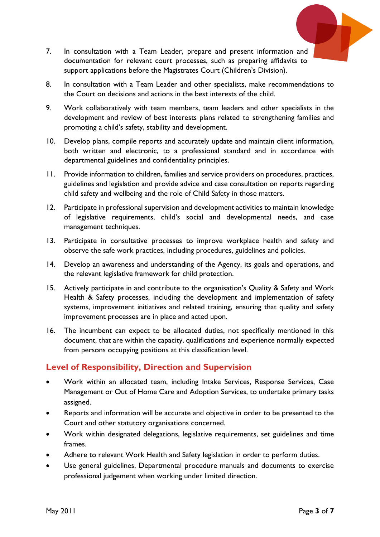

- 7. In consultation with a Team Leader, prepare and present information and documentation for relevant court processes, such as preparing affidavits to support applications before the Magistrates Court (Children's Division).
- 8. In consultation with a Team Leader and other specialists, make recommendations to the Court on decisions and actions in the best interests of the child.
- 9. Work collaboratively with team members, team leaders and other specialists in the development and review of best interests plans related to strengthening families and promoting a child's safety, stability and development.
- 10. Develop plans, compile reports and accurately update and maintain client information, both written and electronic, to a professional standard and in accordance with departmental guidelines and confidentiality principles.
- 11. Provide information to children, families and service providers on procedures, practices, guidelines and legislation and provide advice and case consultation on reports regarding child safety and wellbeing and the role of Child Safety in those matters.
- 12. Participate in professional supervision and development activities to maintain knowledge of legislative requirements, child's social and developmental needs, and case management techniques.
- 13. Participate in consultative processes to improve workplace health and safety and observe the safe work practices, including procedures, guidelines and policies.
- 14. Develop an awareness and understanding of the Agency, its goals and operations, and the relevant legislative framework for child protection.
- 15. Actively participate in and contribute to the organisation's Quality & Safety and Work Health & Safety processes, including the development and implementation of safety systems, improvement initiatives and related training, ensuring that quality and safety improvement processes are in place and acted upon.
- 16. The incumbent can expect to be allocated duties, not specifically mentioned in this document, that are within the capacity, qualifications and experience normally expected from persons occupying positions at this classification level.

### **Level of Responsibility, Direction and Supervision**

- Work within an allocated team, including Intake Services, Response Services, Case Management or Out of Home Care and Adoption Services, to undertake primary tasks assigned.
- Reports and information will be accurate and objective in order to be presented to the Court and other statutory organisations concerned.
- Work within designated delegations, legislative requirements, set guidelines and time frames.
- Adhere to relevant Work Health and Safety legislation in order to perform duties.
- Use general guidelines, Departmental procedure manuals and documents to exercise professional judgement when working under limited direction.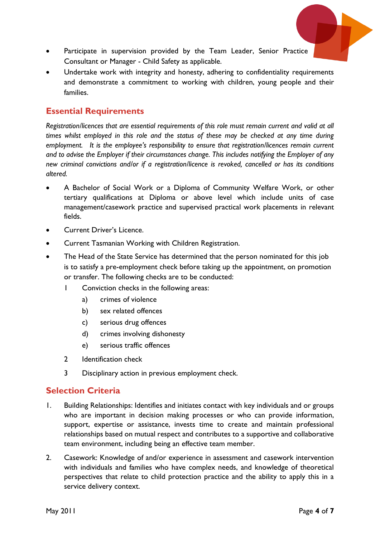

- Participate in supervision provided by the Team Leader, Senior Practice Consultant or Manager - Child Safety as applicable.
- Undertake work with integrity and honesty, adhering to confidentiality requirements and demonstrate a commitment to working with children, young people and their families.

## **Essential Requirements**

*Registration/licences that are essential requirements of this role must remain current and valid at all times whilst employed in this role and the status of these may be checked at any time during employment. It is the employee's responsibility to ensure that registration/licences remain current and to advise the Employer if their circumstances change. This includes notifying the Employer of any new criminal convictions and/or if a registration/licence is revoked, cancelled or has its conditions altered.*

- A Bachelor of Social Work or a Diploma of Community Welfare Work, or other tertiary qualifications at Diploma or above level which include units of case management/casework practice and supervised practical work placements in relevant fields.
- Current Driver's Licence.
- Current Tasmanian Working with Children Registration.
- The Head of the State Service has determined that the person nominated for this job is to satisfy a pre-employment check before taking up the appointment, on promotion or transfer. The following checks are to be conducted:
	- 1 Conviction checks in the following areas:
		- a) crimes of violence
		- b) sex related offences
		- c) serious drug offences
		- d) crimes involving dishonesty
		- e) serious traffic offences
	- 2 Identification check
	- 3 Disciplinary action in previous employment check.

# **Selection Criteria**

- 1. Building Relationships: Identifies and initiates contact with key individuals and or groups who are important in decision making processes or who can provide information, support, expertise or assistance, invests time to create and maintain professional relationships based on mutual respect and contributes to a supportive and collaborative team environment, including being an effective team member.
- 2. Casework: Knowledge of and/or experience in assessment and casework intervention with individuals and families who have complex needs, and knowledge of theoretical perspectives that relate to child protection practice and the ability to apply this in a service delivery context.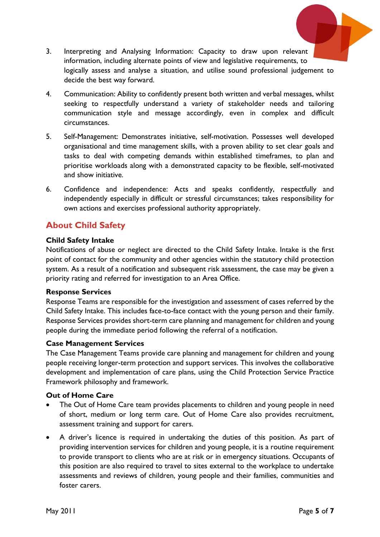

- 3. Interpreting and Analysing Information: Capacity to draw upon relevant information, including alternate points of view and legislative requirements, to logically assess and analyse a situation, and utilise sound professional judgement to decide the best way forward.
- 4. Communication: Ability to confidently present both written and verbal messages, whilst seeking to respectfully understand a variety of stakeholder needs and tailoring communication style and message accordingly, even in complex and difficult circumstances.
- 5. Self-Management: Demonstrates initiative, self-motivation. Possesses well developed organisational and time management skills, with a proven ability to set clear goals and tasks to deal with competing demands within established timeframes, to plan and prioritise workloads along with a demonstrated capacity to be flexible, self-motivated and show initiative.
- 6. Confidence and independence: Acts and speaks confidently, respectfully and independently especially in difficult or stressful circumstances; takes responsibility for own actions and exercises professional authority appropriately.

## **About Child Safety**

#### **Child Safety Intake**

Notifications of abuse or neglect are directed to the Child Safety Intake. Intake is the first point of contact for the community and other agencies within the statutory child protection system. As a result of a notification and subsequent risk assessment, the case may be given a priority rating and referred for investigation to an Area Office.

#### **Response Services**

Response Teams are responsible for the investigation and assessment of cases referred by the Child Safety Intake. This includes face-to-face contact with the young person and their family. Response Services provides short-term care planning and management for children and young people during the immediate period following the referral of a notification.

#### **Case Management Services**

The Case Management Teams provide care planning and management for children and young people receiving longer-term protection and support services. This involves the collaborative development and implementation of care plans, using the Child Protection Service Practice Framework philosophy and framework.

#### **Out of Home Care**

- The Out of Home Care team provides placements to children and young people in need of short, medium or long term care. Out of Home Care also provides recruitment, assessment training and support for carers.
- A driver's licence is required in undertaking the duties of this position. As part of providing intervention services for children and young people, it is a routine requirement to provide transport to clients who are at risk or in emergency situations. Occupants of this position are also required to travel to sites external to the workplace to undertake assessments and reviews of children, young people and their families, communities and foster carers.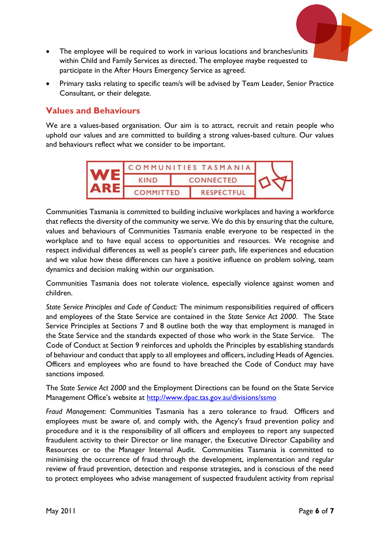

- The employee will be required to work in various locations and branches/units within Child and Family Services as directed. The employee maybe requested to participate in the After Hours Emergency Service as agreed.
- Primary tasks relating to specific team/s will be advised by Team Leader, Senior Practice Consultant, or their delegate.

## **Values and Behaviours**

We are a values-based organisation. Our aim is to attract, recruit and retain people who uphold our values and are committed to building a strong values-based culture. Our values and behaviours reflect what we consider to be important.



Communities Tasmania is committed to building inclusive workplaces and having a workforce that reflects the diversity of the community we serve. We do this by ensuring that the culture, values and behaviours of Communities Tasmania enable everyone to be respected in the workplace and to have equal access to opportunities and resources. We recognise and respect individual differences as well as people's career path, life experiences and education and we value how these differences can have a positive influence on problem solving, team dynamics and decision making within our organisation.

Communities Tasmania does not tolerate violence, especially violence against women and children.

*State Service Principles and Code of Conduct:* The minimum responsibilities required of officers and employees of the State Service are contained in the *State Service Act 2000*. The State Service Principles at Sections 7 and 8 outline both the way that employment is managed in the State Service and the standards expected of those who work in the State Service. The Code of Conduct at Section 9 reinforces and upholds the Principles by establishing standards of behaviour and conduct that apply to all employees and officers, including Heads of Agencies. Officers and employees who are found to have breached the Code of Conduct may have sanctions imposed.

The *State Service Act 2000* and the Employment Directions can be found on the State Service Management Office's website at <http://www.dpac.tas.gov.au/divisions/ssmo>

*Fraud Management*: Communities Tasmania has a zero tolerance to fraud. Officers and employees must be aware of, and comply with, the Agency's fraud prevention policy and procedure and it is the responsibility of all officers and employees to report any suspected fraudulent activity to their Director or line manager, the Executive Director Capability and Resources or to the Manager Internal Audit. Communities Tasmania is committed to minimising the occurrence of fraud through the development, implementation and regular review of fraud prevention, detection and response strategies, and is conscious of the need to protect employees who advise management of suspected fraudulent activity from reprisal